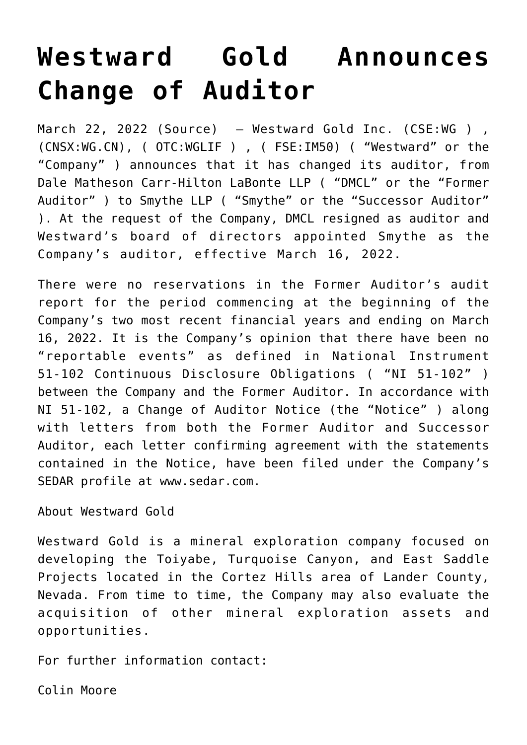## **[Westward Gold Announces](https://investorintel.com/markets/gold-silver-base-metals/gold-precious-metals-news/westward-gold-announces-change-of-auditor/) [Change of Auditor](https://investorintel.com/markets/gold-silver-base-metals/gold-precious-metals-news/westward-gold-announces-change-of-auditor/)**

March 22, 2022 ([Source](https://www.thenewswire.com/press-releases/1kVGFQoGW-westward-gold-announces-change-of-auditor.html)) – Westward Gold Inc. (CSE:WG), (CNSX:WG.CN), ( OTC:WGLIF ) , ( FSE:IM50) ( "Westward" or the "Company" ) announces that it has changed its auditor, from Dale Matheson Carr-Hilton LaBonte LLP ( "DMCL" or the "Former Auditor" ) to Smythe LLP ( "Smythe" or the "Successor Auditor" ). At the request of the Company, DMCL resigned as auditor and Westward's board of directors appointed Smythe as the Company's auditor, effective March 16, 2022.

There were no reservations in the Former Auditor's audit report for the period commencing at the beginning of the Company's two most recent financial years and ending on March 16, 2022. It is the Company's opinion that there have been no "reportable events" as defined in National Instrument 51-102 Continuous Disclosure Obligations ( "NI 51-102" ) between the Company and the Former Auditor. In accordance with NI 51-102, a Change of Auditor Notice (the "Notice" ) along with letters from both the Former Auditor and Successor Auditor, each letter confirming agreement with the statements contained in the Notice, have been filed under the Company's SEDAR profile at www.sedar.com.

About Westward Gold

Westward Gold is a mineral exploration company focused on developing the Toiyabe, Turquoise Canyon, and East Saddle Projects located in the Cortez Hills area of Lander County, Nevada. From time to time, the Company may also evaluate the acquisition of other mineral exploration assets and opportunities.

For further information contact:

Colin Moore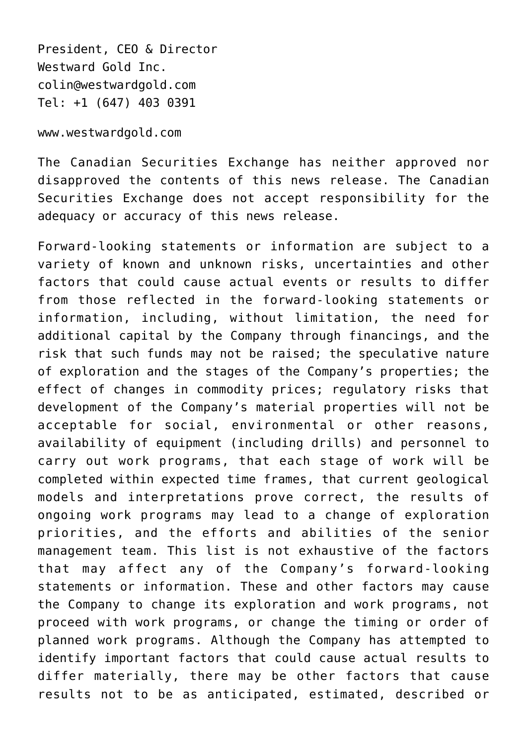President, CEO & Director Westward Gold Inc. colin@westwardgold.com Tel: +1 (647) 403 0391

www.westwardgold.com

The Canadian Securities Exchange has neither approved nor disapproved the contents of this news release. The Canadian Securities Exchange does not accept responsibility for the adequacy or accuracy of this news release.

Forward-looking statements or information are subject to a variety of known and unknown risks, uncertainties and other factors that could cause actual events or results to differ from those reflected in the forward-looking statements or information, including, without limitation, the need for additional capital by the Company through financings, and the risk that such funds may not be raised; the speculative nature of exploration and the stages of the Company's properties; the effect of changes in commodity prices; regulatory risks that development of the Company's material properties will not be acceptable for social, environmental or other reasons, availability of equipment (including drills) and personnel to carry out work programs, that each stage of work will be completed within expected time frames, that current geological models and interpretations prove correct, the results of ongoing work programs may lead to a change of exploration priorities, and the efforts and abilities of the senior management team. This list is not exhaustive of the factors that may affect any of the Company's forward-looking statements or information. These and other factors may cause the Company to change its exploration and work programs, not proceed with work programs, or change the timing or order of planned work programs. Although the Company has attempted to identify important factors that could cause actual results to differ materially, there may be other factors that cause results not to be as anticipated, estimated, described or